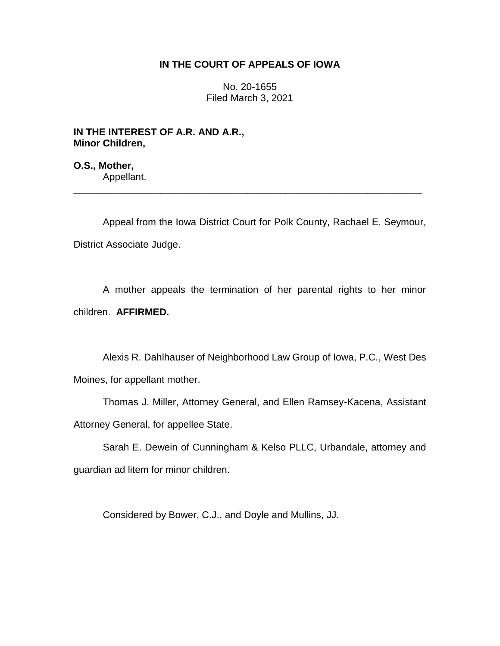## **IN THE COURT OF APPEALS OF IOWA**

No. 20-1655 Filed March 3, 2021

**IN THE INTEREST OF A.R. AND A.R., Minor Children,**

**O.S., Mother,** Appellant.

Appeal from the Iowa District Court for Polk County, Rachael E. Seymour, District Associate Judge.

\_\_\_\_\_\_\_\_\_\_\_\_\_\_\_\_\_\_\_\_\_\_\_\_\_\_\_\_\_\_\_\_\_\_\_\_\_\_\_\_\_\_\_\_\_\_\_\_\_\_\_\_\_\_\_\_\_\_\_\_\_\_\_\_

A mother appeals the termination of her parental rights to her minor children. **AFFIRMED.**

Alexis R. Dahlhauser of Neighborhood Law Group of Iowa, P.C., West Des Moines, for appellant mother.

Thomas J. Miller, Attorney General, and Ellen Ramsey-Kacena, Assistant Attorney General, for appellee State.

Sarah E. Dewein of Cunningham & Kelso PLLC, Urbandale, attorney and guardian ad litem for minor children.

Considered by Bower, C.J., and Doyle and Mullins, JJ.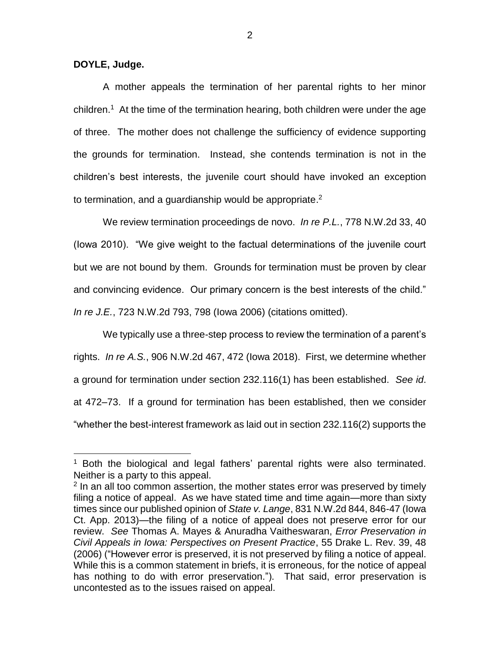**DOYLE, Judge.**

 $\overline{a}$ 

A mother appeals the termination of her parental rights to her minor children.<sup>1</sup> At the time of the termination hearing, both children were under the age of three. The mother does not challenge the sufficiency of evidence supporting the grounds for termination. Instead, she contends termination is not in the children's best interests, the juvenile court should have invoked an exception to termination, and a guardianship would be appropriate. 2

We review termination proceedings de novo. *In re P.L.*, 778 N.W.2d 33, 40 (Iowa 2010). "We give weight to the factual determinations of the juvenile court but we are not bound by them. Grounds for termination must be proven by clear and convincing evidence. Our primary concern is the best interests of the child." *In re J.E.*, 723 N.W.2d 793, 798 (Iowa 2006) (citations omitted).

We typically use a three-step process to review the termination of a parent's rights. *In re A.S.*, 906 N.W.2d 467, 472 (Iowa 2018). First, we determine whether a ground for termination under section 232.116(1) has been established. *See id*. at 472–73. If a ground for termination has been established, then we consider "whether the best-interest framework as laid out in section 232.116(2) supports the

 $1$  Both the biological and legal fathers' parental rights were also terminated. Neither is a party to this appeal.

<sup>&</sup>lt;sup>2</sup> In an all too common assertion, the mother states error was preserved by timely filing a notice of appeal. As we have stated time and time again—more than sixty times since our published opinion of *State v. Lange*, 831 N.W.2d 844, 846-47 (Iowa Ct. App. 2013)—the filing of a notice of appeal does not preserve error for our review. *See* Thomas A. Mayes & Anuradha Vaitheswaran, *Error Preservation in Civil Appeals in Iowa: Perspectives on Present Practice*, 55 Drake L. Rev. 39, 48 (2006) ("However error is preserved, it is not preserved by filing a notice of appeal. While this is a common statement in briefs, it is erroneous, for the notice of appeal has nothing to do with error preservation."). That said, error preservation is uncontested as to the issues raised on appeal.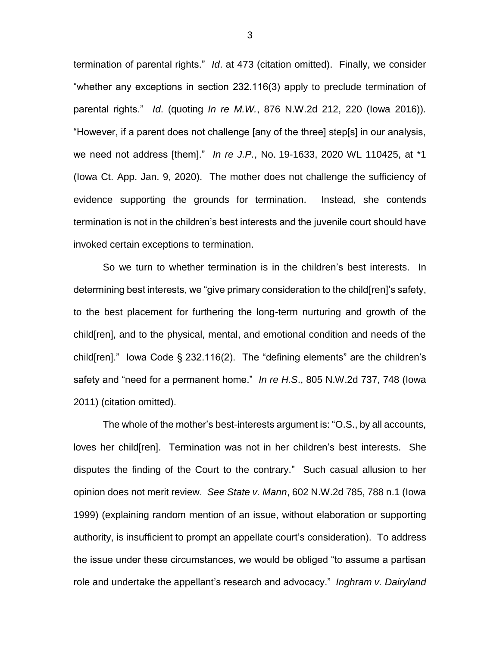termination of parental rights." *Id*. at 473 (citation omitted). Finally, we consider "whether any exceptions in section 232.116(3) apply to preclude termination of parental rights." *Id*. (quoting *In re M.W.*, 876 N.W.2d 212, 220 (Iowa 2016)). "However, if a parent does not challenge [any of the three] step[s] in our analysis, we need not address [them]." *In re J.P.*, No. 19-1633, 2020 WL 110425, at \*1 (Iowa Ct. App. Jan. 9, 2020). The mother does not challenge the sufficiency of evidence supporting the grounds for termination. Instead, she contends termination is not in the children's best interests and the juvenile court should have invoked certain exceptions to termination.

So we turn to whether termination is in the children's best interests. In determining best interests, we "give primary consideration to the child[ren]'s safety, to the best placement for furthering the long-term nurturing and growth of the child[ren], and to the physical, mental, and emotional condition and needs of the child[ren]." Iowa Code § 232.116(2). The "defining elements" are the children's safety and "need for a permanent home." *In re H.S*., 805 N.W.2d 737, 748 (Iowa 2011) (citation omitted).

The whole of the mother's best-interests argument is: "O.S., by all accounts, loves her child[ren]. Termination was not in her children's best interests. She disputes the finding of the Court to the contrary." Such casual allusion to her opinion does not merit review. *See State v. Mann*, 602 N.W.2d 785, 788 n.1 (Iowa 1999) (explaining random mention of an issue, without elaboration or supporting authority, is insufficient to prompt an appellate court's consideration). To address the issue under these circumstances, we would be obliged "to assume a partisan role and undertake the appellant's research and advocacy." *Inghram v. Dairyland* 

3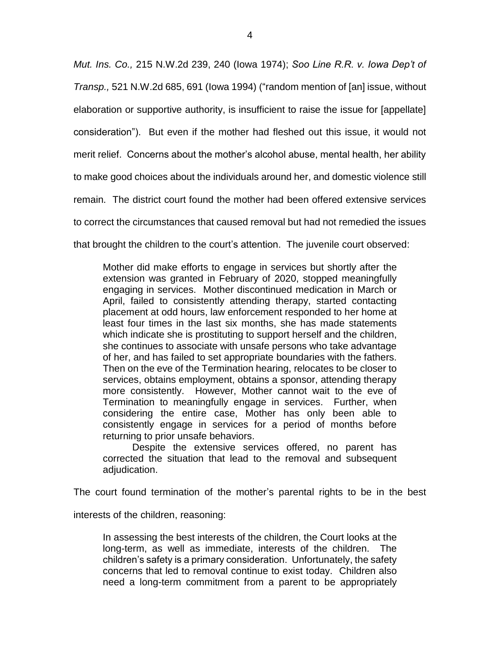*Mut. Ins. Co.,* 215 N.W.2d 239, 240 (Iowa 1974); *Soo Line R.R. v. Iowa Dep't of Transp.,* 521 N.W.2d 685, 691 (Iowa 1994) ("random mention of [an] issue, without elaboration or supportive authority, is insufficient to raise the issue for [appellate] consideration"). But even if the mother had fleshed out this issue, it would not merit relief. Concerns about the mother's alcohol abuse, mental health, her ability to make good choices about the individuals around her, and domestic violence still remain. The district court found the mother had been offered extensive services to correct the circumstances that caused removal but had not remedied the issues that brought the children to the court's attention. The juvenile court observed:

Mother did make efforts to engage in services but shortly after the extension was granted in February of 2020, stopped meaningfully engaging in services. Mother discontinued medication in March or April, failed to consistently attending therapy, started contacting placement at odd hours, law enforcement responded to her home at least four times in the last six months, she has made statements which indicate she is prostituting to support herself and the children, she continues to associate with unsafe persons who take advantage of her, and has failed to set appropriate boundaries with the fathers. Then on the eve of the Termination hearing, relocates to be closer to services, obtains employment, obtains a sponsor, attending therapy more consistently. However, Mother cannot wait to the eve of Termination to meaningfully engage in services. Further, when considering the entire case, Mother has only been able to consistently engage in services for a period of months before returning to prior unsafe behaviors.

Despite the extensive services offered, no parent has corrected the situation that lead to the removal and subsequent adjudication.

The court found termination of the mother's parental rights to be in the best

interests of the children, reasoning:

In assessing the best interests of the children, the Court looks at the long-term, as well as immediate, interests of the children. The children's safety is a primary consideration. Unfortunately, the safety concerns that led to removal continue to exist today. Children also need a long-term commitment from a parent to be appropriately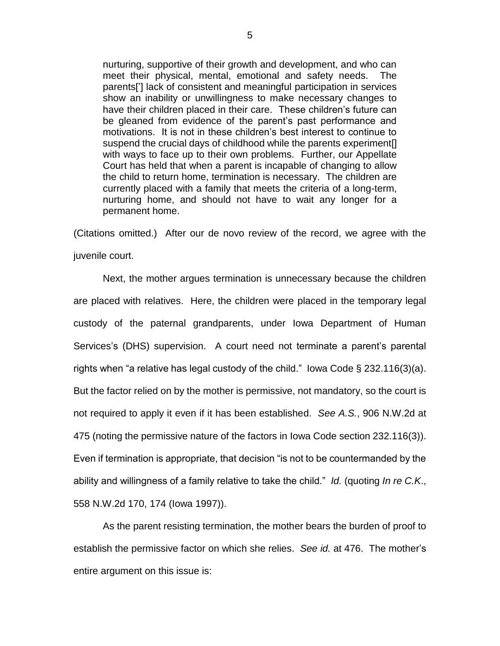nurturing, supportive of their growth and development, and who can meet their physical, mental, emotional and safety needs. The parents['] lack of consistent and meaningful participation in services show an inability or unwillingness to make necessary changes to have their children placed in their care. These children's future can be gleaned from evidence of the parent's past performance and motivations. It is not in these children's best interest to continue to suspend the crucial days of childhood while the parents experiment[] with ways to face up to their own problems. Further, our Appellate Court has held that when a parent is incapable of changing to allow the child to return home, termination is necessary. The children are currently placed with a family that meets the criteria of a long-term, nurturing home, and should not have to wait any longer for a permanent home.

(Citations omitted.) After our de novo review of the record, we agree with the juvenile court.

Next, the mother argues termination is unnecessary because the children are placed with relatives. Here, the children were placed in the temporary legal custody of the paternal grandparents, under Iowa Department of Human Services's (DHS) supervision. A court need not terminate a parent's parental rights when "a relative has legal custody of the child." Iowa Code § 232.116(3)(a). But the factor relied on by the mother is permissive, not mandatory, so the court is not required to apply it even if it has been established. *See A.S.*, 906 N.W.2d at 475 (noting the permissive nature of the factors in Iowa Code section 232.116(3)). Even if termination is appropriate, that decision "is not to be countermanded by the ability and willingness of a family relative to take the child." *Id.* (quoting *In re C.K*., 558 N.W.2d 170, 174 (Iowa 1997)).

As the parent resisting termination, the mother bears the burden of proof to establish the permissive factor on which she relies. *See id.* at 476. The mother's entire argument on this issue is: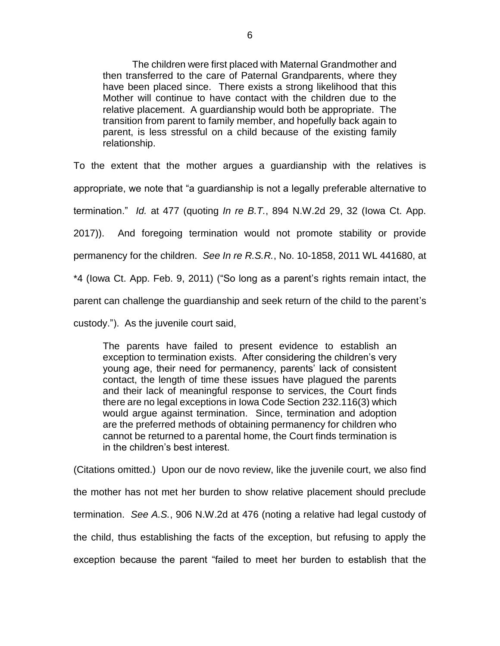The children were first placed with Maternal Grandmother and then transferred to the care of Paternal Grandparents, where they have been placed since. There exists a strong likelihood that this Mother will continue to have contact with the children due to the relative placement. A guardianship would both be appropriate. The transition from parent to family member, and hopefully back again to parent, is less stressful on a child because of the existing family relationship.

To the extent that the mother argues a guardianship with the relatives is appropriate, we note that "a guardianship is not a legally preferable alternative to termination." *Id.* at 477 (quoting *In re B.T.*, 894 N.W.2d 29, 32 (Iowa Ct. App. 2017)). And foregoing termination would not promote stability or provide permanency for the children. *See In re R.S.R.*, No. 10-1858, 2011 WL 441680, at \*4 (Iowa Ct. App. Feb. 9, 2011) ("So long as a parent's rights remain intact, the parent can challenge the guardianship and seek return of the child to the parent's

custody."). As the juvenile court said,

The parents have failed to present evidence to establish an exception to termination exists. After considering the children's very young age, their need for permanency, parents' lack of consistent contact, the length of time these issues have plagued the parents and their lack of meaningful response to services, the Court finds there are no legal exceptions in Iowa Code Section 232.116(3) which would argue against termination. Since, termination and adoption are the preferred methods of obtaining permanency for children who cannot be returned to a parental home, the Court finds termination is in the children's best interest.

(Citations omitted.) Upon our de novo review, like the juvenile court, we also find the mother has not met her burden to show relative placement should preclude termination. *See A.S.*, 906 N.W.2d at 476 (noting a relative had legal custody of the child, thus establishing the facts of the exception, but refusing to apply the exception because the parent "failed to meet her burden to establish that the